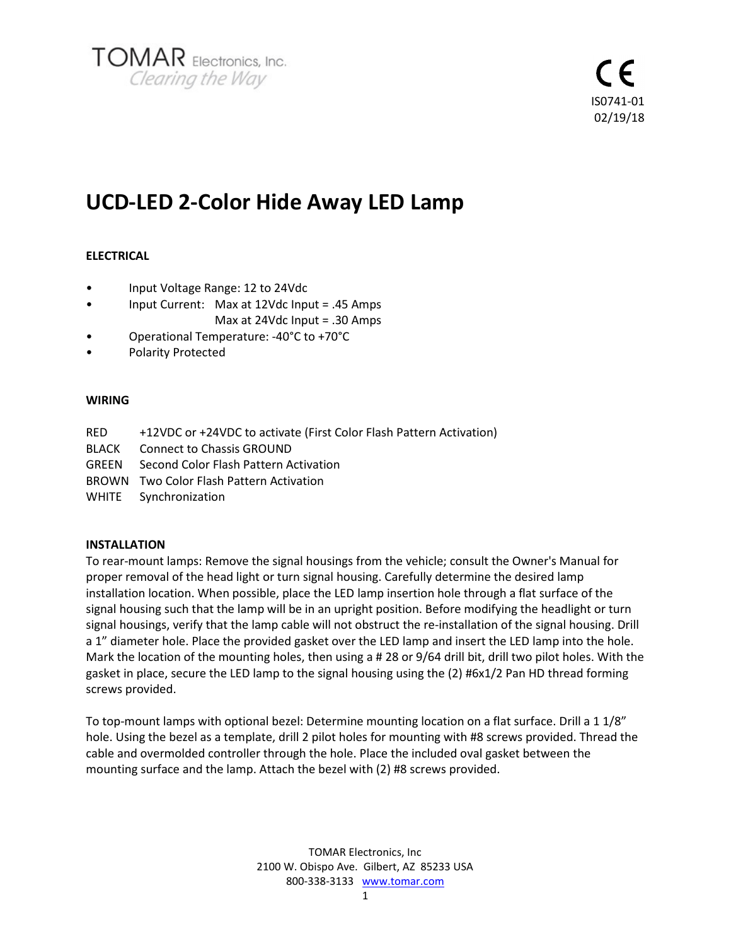

# **UCD-LED 2-Color Hide Away LED Lamp**

# **ELECTRICAL**

- Input Voltage Range: 12 to 24Vdc
- Input Current: Max at 12Vdc Input = .45 Amps Max at 24Vdc Input = .30 Amps
- Operational Temperature: -40°C to +70°C
- Polarity Protected

# **WIRING**

- RED +12VDC or +24VDC to activate (First Color Flash Pattern Activation)
- BLACK Connect to Chassis GROUND
- GREEN Second Color Flash Pattern Activation
- BROWN Two Color Flash Pattern Activation
- WHITE Synchronization

# **INSTALLATION**

To rear-mount lamps: Remove the signal housings from the vehicle; consult the Owner's Manual for proper removal of the head light or turn signal housing. Carefully determine the desired lamp installation location. When possible, place the LED lamp insertion hole through a flat surface of the signal housing such that the lamp will be in an upright position. Before modifying the headlight or turn signal housings, verify that the lamp cable will not obstruct the re-installation of the signal housing. Drill a 1" diameter hole. Place the provided gasket over the LED lamp and insert the LED lamp into the hole. Mark the location of the mounting holes, then using a # 28 or 9/64 drill bit, drill two pilot holes. With the gasket in place, secure the LED lamp to the signal housing using the (2) #6x1/2 Pan HD thread forming screws provided.

To top-mount lamps with optional bezel: Determine mounting location on a flat surface. Drill a 1 1/8" hole. Using the bezel as a template, drill 2 pilot holes for mounting with #8 screws provided. Thread the cable and overmolded controller through the hole. Place the included oval gasket between the mounting surface and the lamp. Attach the bezel with (2) #8 screws provided.

> TOMAR Electronics, Inc 2100 W. Obispo Ave. Gilbert, AZ 85233 USA 800-338-3133 www.tomar.com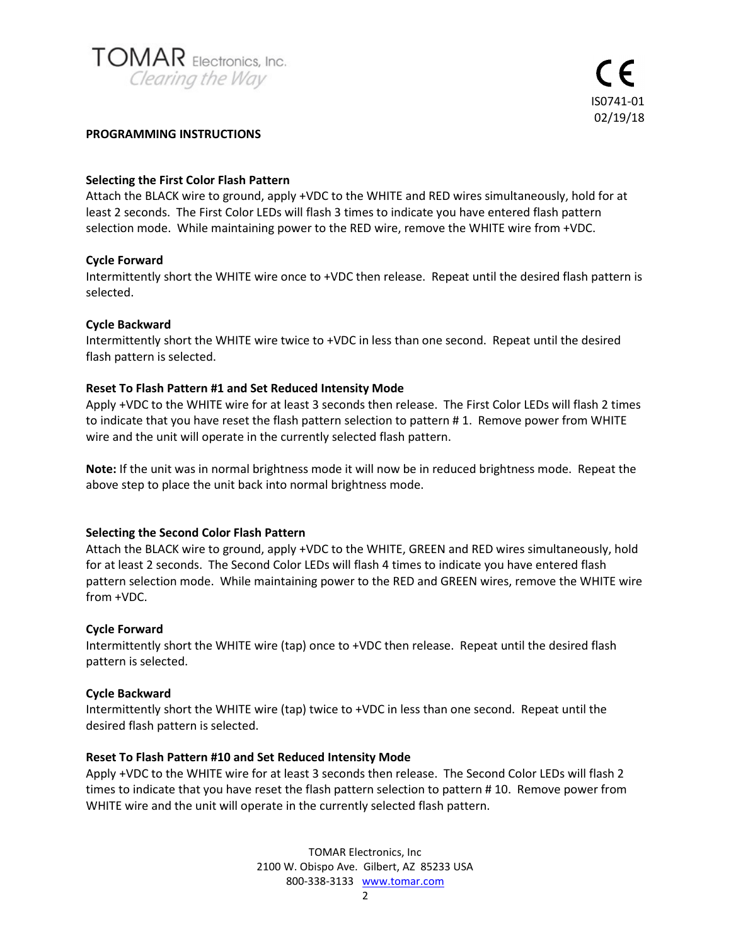

#### **PROGRAMMING INSTRUCTIONS**

# **Selecting the First Color Flash Pattern**

Attach the BLACK wire to ground, apply +VDC to the WHITE and RED wires simultaneously, hold for at least 2 seconds. The First Color LEDs will flash 3 times to indicate you have entered flash pattern selection mode. While maintaining power to the RED wire, remove the WHITE wire from +VDC.

# **Cycle Forward**

Intermittently short the WHITE wire once to +VDC then release. Repeat until the desired flash pattern is selected.

# **Cycle Backward**

Intermittently short the WHITE wire twice to +VDC in less than one second. Repeat until the desired flash pattern is selected.

# **Reset To Flash Pattern #1 and Set Reduced Intensity Mode**

Apply +VDC to the WHITE wire for at least 3 seconds then release. The First Color LEDs will flash 2 times to indicate that you have reset the flash pattern selection to pattern #1. Remove power from WHITE wire and the unit will operate in the currently selected flash pattern.

**Note:** If the unit was in normal brightness mode it will now be in reduced brightness mode. Repeat the above step to place the unit back into normal brightness mode.

#### **Selecting the Second Color Flash Pattern**

Attach the BLACK wire to ground, apply +VDC to the WHITE, GREEN and RED wires simultaneously, hold for at least 2 seconds. The Second Color LEDs will flash 4 times to indicate you have entered flash pattern selection mode. While maintaining power to the RED and GREEN wires, remove the WHITE wire from +VDC.

#### **Cycle Forward**

Intermittently short the WHITE wire (tap) once to +VDC then release. Repeat until the desired flash pattern is selected.

#### **Cycle Backward**

Intermittently short the WHITE wire (tap) twice to +VDC in less than one second. Repeat until the desired flash pattern is selected.

#### **Reset To Flash Pattern #10 and Set Reduced Intensity Mode**

Apply +VDC to the WHITE wire for at least 3 seconds then release. The Second Color LEDs will flash 2 times to indicate that you have reset the flash pattern selection to pattern # 10. Remove power from WHITE wire and the unit will operate in the currently selected flash pattern.

> TOMAR Electronics, Inc 2100 W. Obispo Ave. Gilbert, AZ 85233 USA 800-338-3133 www.tomar.com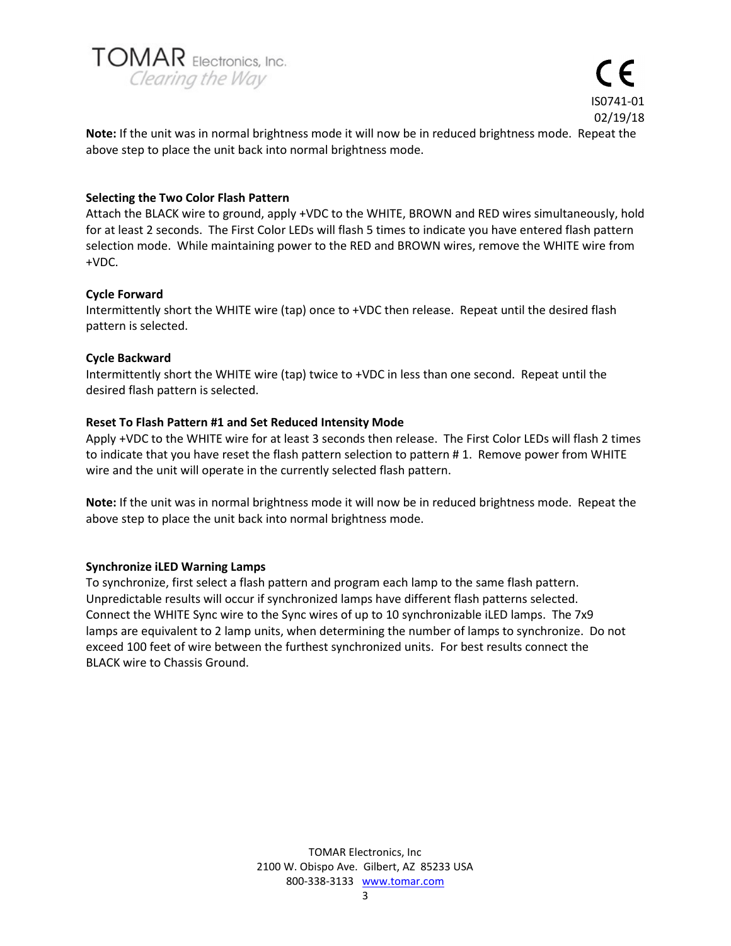



**Note:** If the unit was in normal brightness mode it will now be in reduced brightness mode. Repeat the above step to place the unit back into normal brightness mode.

# **Selecting the Two Color Flash Pattern**

Attach the BLACK wire to ground, apply +VDC to the WHITE, BROWN and RED wires simultaneously, hold for at least 2 seconds. The First Color LEDs will flash 5 times to indicate you have entered flash pattern selection mode. While maintaining power to the RED and BROWN wires, remove the WHITE wire from +VDC.

# **Cycle Forward**

Intermittently short the WHITE wire (tap) once to +VDC then release. Repeat until the desired flash pattern is selected.

#### **Cycle Backward**

Intermittently short the WHITE wire (tap) twice to +VDC in less than one second. Repeat until the desired flash pattern is selected.

# **Reset To Flash Pattern #1 and Set Reduced Intensity Mode**

Apply +VDC to the WHITE wire for at least 3 seconds then release. The First Color LEDs will flash 2 times to indicate that you have reset the flash pattern selection to pattern #1. Remove power from WHITE wire and the unit will operate in the currently selected flash pattern.

**Note:** If the unit was in normal brightness mode it will now be in reduced brightness mode. Repeat the above step to place the unit back into normal brightness mode.

#### **Synchronize iLED Warning Lamps**

To synchronize, first select a flash pattern and program each lamp to the same flash pattern. Unpredictable results will occur if synchronized lamps have different flash patterns selected. Connect the WHITE Sync wire to the Sync wires of up to 10 synchronizable iLED lamps. The 7x9 lamps are equivalent to 2 lamp units, when determining the number of lamps to synchronize. Do not exceed 100 feet of wire between the furthest synchronized units. For best results connect the BLACK wire to Chassis Ground.

> TOMAR Electronics, Inc 2100 W. Obispo Ave. Gilbert, AZ 85233 USA 800-338-3133 www.tomar.com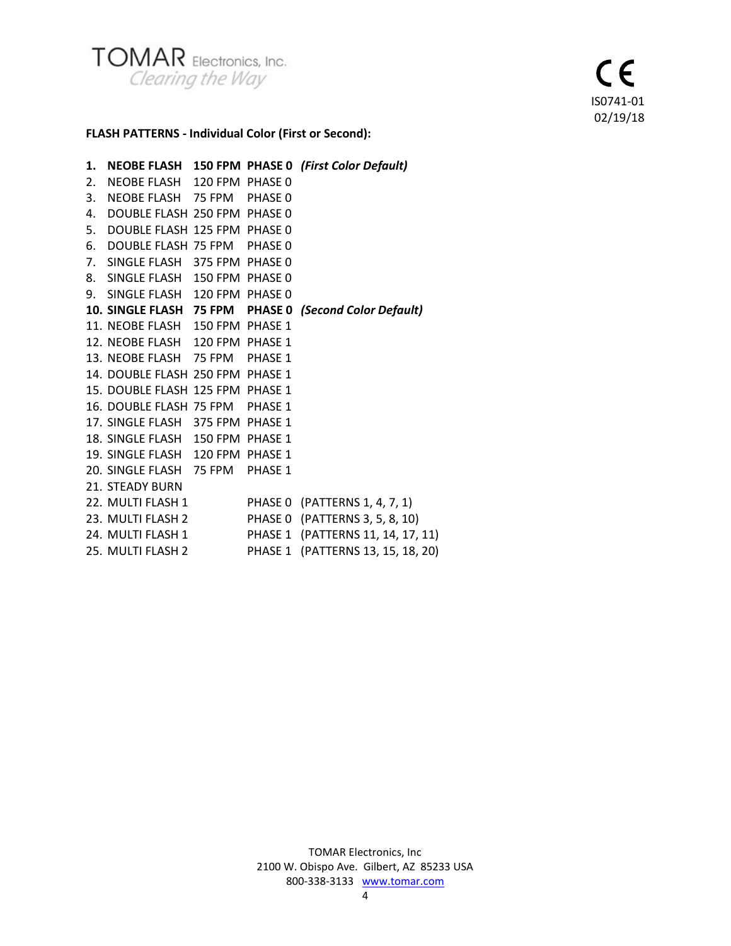

# **FLASH PATTERNS - Individual Color (First or Second):**

| 1. |                                  |  | NEOBE FLASH 150 FPM PHASE 0 (First Color Default)      |
|----|----------------------------------|--|--------------------------------------------------------|
| 2. | NEOBE FLASH 120 FPM PHASE 0      |  |                                                        |
|    | 3. NEOBE FLASH 75 FPM PHASE 0    |  |                                                        |
|    | 4. DOUBLE FLASH 250 FPM PHASE 0  |  |                                                        |
|    | 5. DOUBLE FLASH 125 FPM PHASE 0  |  |                                                        |
|    | 6. DOUBLE FLASH 75 FPM PHASE 0   |  |                                                        |
|    | 7. SINGLE FLASH 375 FPM PHASE 0  |  |                                                        |
|    | 8. SINGLE FLASH 150 FPM PHASE 0  |  |                                                        |
|    | 9. SINGLE FLASH 120 FPM PHASE 0  |  |                                                        |
|    |                                  |  | 10. SINGLE FLASH 75 FPM PHASE 0 (Second Color Default) |
|    | 11. NEOBE FLASH 150 FPM PHASE 1  |  |                                                        |
|    | 12. NEOBE FLASH 120 FPM PHASE 1  |  |                                                        |
|    | 13. NEOBE FLASH 75 FPM PHASE 1   |  |                                                        |
|    | 14. DOUBLE FLASH 250 FPM PHASE 1 |  |                                                        |
|    | 15. DOUBLE FLASH 125 FPM PHASE 1 |  |                                                        |
|    | 16. DOUBLE FLASH 75 FPM PHASE 1  |  |                                                        |
|    | 17. SINGLE FLASH 375 FPM PHASE 1 |  |                                                        |
|    | 18. SINGLE FLASH 150 FPM PHASE 1 |  |                                                        |
|    | 19. SINGLE FLASH 120 FPM PHASE 1 |  |                                                        |
|    | 20. SINGLE FLASH 75 FPM PHASE 1  |  |                                                        |
|    | 21. STEADY BURN                  |  |                                                        |
|    |                                  |  | 22. MULTI FLASH 1 PHASE 0 (PATTERNS 1, 4, 7, 1)        |
|    |                                  |  | 23. MULTI FLASH 2 PHASE 0 (PATTERNS 3, 5, 8, 10)       |
|    |                                  |  | 24. MULTI FLASH 1 PHASE 1 (PATTERNS 11, 14, 17, 11)    |
|    |                                  |  | 25. MULTI FLASH 2 PHASE 1 (PATTERNS 13, 15, 18, 20)    |